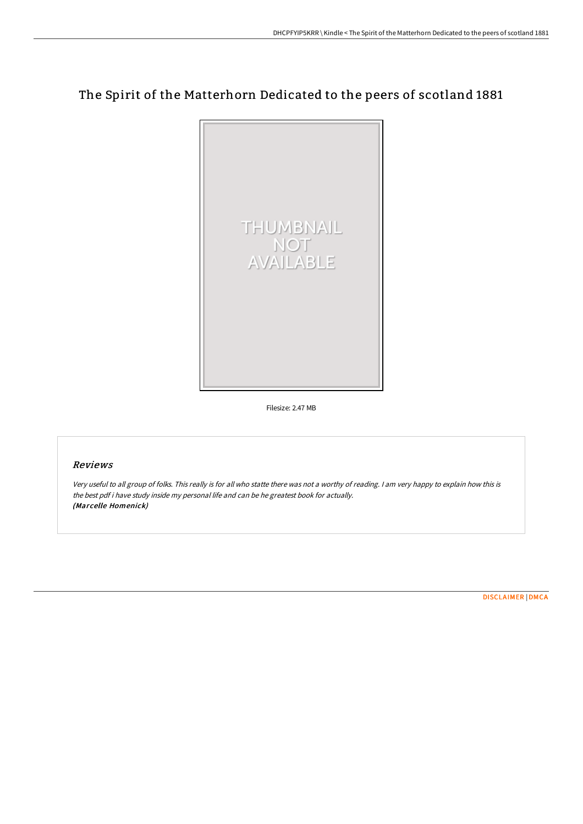# The Spirit of the Matterhorn Dedicated to the peers of scotland 1881



Filesize: 2.47 MB

## Reviews

Very useful to all group of folks. This really is for all who statte there was not <sup>a</sup> worthy of reading. <sup>I</sup> am very happy to explain how this is the best pdf i have study inside my personal life and can be he greatest book for actually. (Marcelle Homenick)

[DISCLAIMER](http://bookera.tech/disclaimer.html) | [DMCA](http://bookera.tech/dmca.html)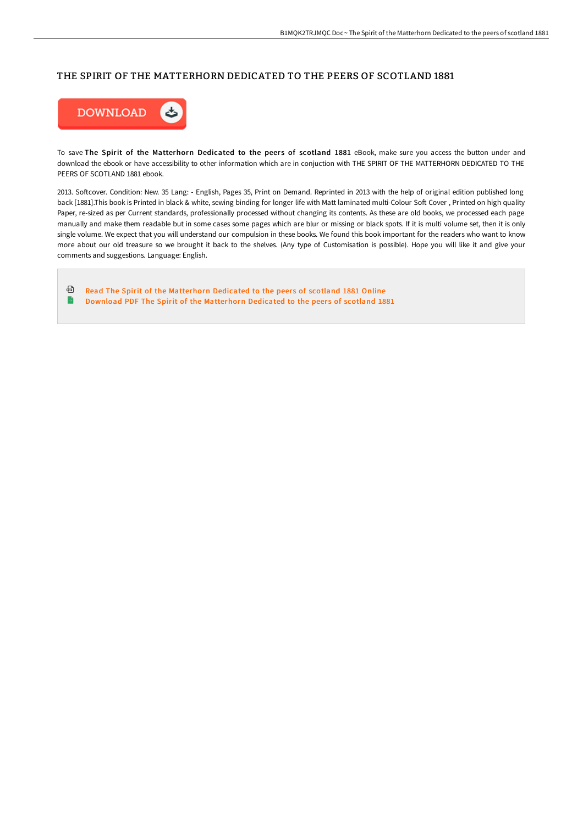### THE SPIRIT OF THE MATTERHORN DEDICATED TO THE PEERS OF SCOTLAND 1881



To save The Spirit of the Matterhorn Dedicated to the peers of scotland 1881 eBook, make sure you access the button under and download the ebook or have accessibility to other information which are in conjuction with THE SPIRIT OF THE MATTERHORN DEDICATED TO THE PEERS OF SCOTLAND 1881 ebook.

2013. Softcover. Condition: New. 35 Lang: - English, Pages 35, Print on Demand. Reprinted in 2013 with the help of original edition published long back [1881].This book is Printed in black & white, sewing binding for longer life with Matt laminated multi-Colour Soft Cover, Printed on high quality Paper, re-sized as per Current standards, professionally processed without changing its contents. As these are old books, we processed each page manually and make them readable but in some cases some pages which are blur or missing or black spots. If it is multi volume set, then it is only single volume. We expect that you will understand our compulsion in these books. We found this book important for the readers who want to know more about our old treasure so we brought it back to the shelves. (Any type of Customisation is possible). Hope you will like it and give your comments and suggestions. Language: English.

⊕ Read The Spirit of the [Matterhorn](http://bookera.tech/the-spirit-of-the-matterhorn-dedicated-to-the-pe.html) Dedicated to the peers of scotland 1881 Online B Download PDF The Spirit of the [Matterhorn](http://bookera.tech/the-spirit-of-the-matterhorn-dedicated-to-the-pe.html) Dedicated to the peers of scotland 1881